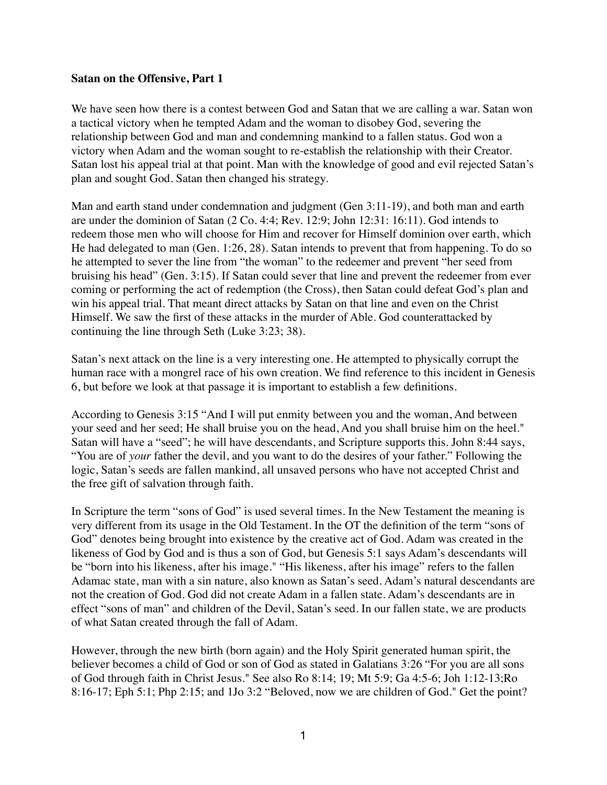## **Satan on the Offensive, Part 1**

We have seen how there is a contest between God and Satan that we are calling a war. Satan won a tactical victory when he tempted Adam and the woman to disobey God, severing the relationship between God and man and condemning mankind to a fallen status. God won a victory when Adam and the woman sought to re-establish the relationship with their Creator. Satan lost his appeal trial at that point. Man with the knowledge of good and evil rejected Satan's plan and sought God. Satan then changed his strategy.

Man and earth stand under condemnation and judgment (Gen 3:11-19), and both man and earth are under the dominion of Satan (2 Co. 4:4; Rev. 12:9; John 12:31: 16:11). God intends to redeem those men who will choose for Him and recover for Himself dominion over earth, which He had delegated to man (Gen. 1:26, 28). Satan intends to prevent that from happening. To do so he attempted to sever the line from "the woman" to the redeemer and prevent "her seed from bruising his head" (Gen. 3:15). If Satan could sever that line and prevent the redeemer from ever coming or performing the act of redemption (the Cross), then Satan could defeat God's plan and win his appeal trial. That meant direct attacks by Satan on that line and even on the Christ Himself. We saw the first of these attacks in the murder of Able. God counterattacked by continuing the line through Seth (Luke 3:23; 38).

Satan's next attack on the line is a very interesting one. He attempted to physically corrupt the human race with a mongrel race of his own creation. We find reference to this incident in Genesis 6, but before we look at that passage it is important to establish a few definitions.

According to Genesis 3:15 "And I will put enmity between you and the woman, And between your seed and her seed; He shall bruise you on the head, And you shall bruise him on the heel." Satan will have a "seed"; he will have descendants, and Scripture supports this. John 8:44 says, "You are of *your* father the devil, and you want to do the desires of your father." Following the logic, Satan's seeds are fallen mankind, all unsaved persons who have not accepted Christ and the free gift of salvation through faith.

In Scripture the term "sons of God" is used several times. In the New Testament the meaning is very different from its usage in the Old Testament. In the OT the definition of the term "sons of God" denotes being brought into existence by the creative act of God. Adam was created in the likeness of God by God and is thus a son of God, but Genesis 5:1 says Adam's descendants will be "born into his likeness, after his image." "His likeness, after his image" refers to the fallen Adamac state, man with a sin nature, also known as Satan's seed. Adam's natural descendants are not the creation of God. God did not create Adam in a fallen state. Adam's descendants are in effect "sons of man" and children of the Devil, Satan's seed. In our fallen state, we are products of what Satan created through the fall of Adam.

However, through the new birth (born again) and the Holy Spirit generated human spirit, the believer becomes a child of God or son of God as stated in Galatians 3:26 "For you are all sons of God through faith in Christ Jesus." See also Ro 8:14; 19; Mt 5:9; Ga 4:5-6; Joh 1:12-13;Ro 8:16-17; Eph 5:1; Php 2:15; and 1Jo 3:2 "Beloved, now we are children of God." Get the point?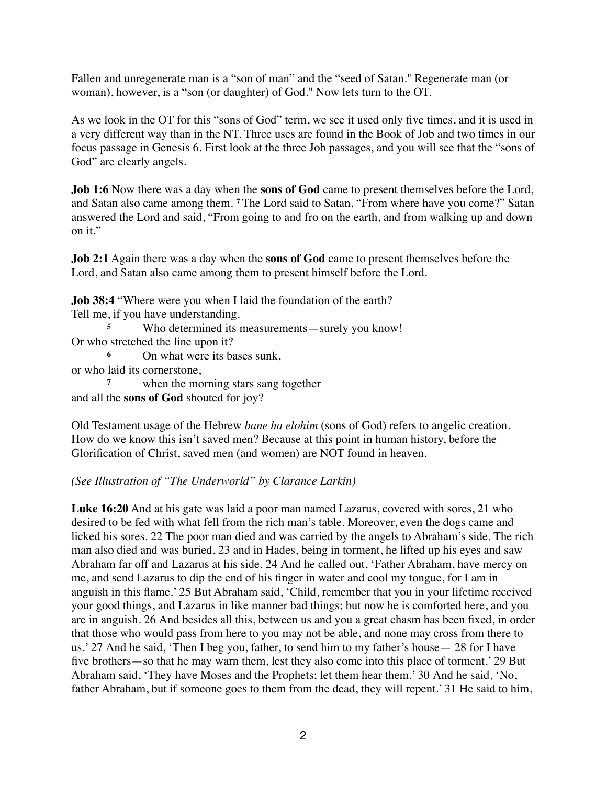Fallen and unregenerate man is a "son of man" and the "seed of Satan." Regenerate man (or woman), however, is a "son (or daughter) of God." Now lets turn to the OT.

As we look in the OT for this "sons of God" term, we see it used only five times, and it is used in a very different way than in the NT. Three uses are found in the Book of Job and two times in our focus passage in Genesis 6. First look at the three Job passages, and you will see that the "sons of God" are clearly angels.

**Job 1:6** Now there was a day when the **sons of God** came to present themselves before the Lord, and Satan also came among them. **<sup>7</sup>** The Lord said to Satan, "From where have you come?" Satan answered the Lord and said, "From going to and fro on the earth, and from walking up and down on it."

**Job 2:1** Again there was a day when the **sons of God** came to present themselves before the Lord, and Satan also came among them to present himself before the Lord.

**Job 38:4** "Where were you when I laid the foundation of the earth?

Tell me, if you have understanding.

**<sup>5</sup>** Who determined its measurements—surely you know! Or who stretched the line upon it?

**<sup>6</sup>** On what were its bases sunk,

or who laid its cornerstone,

**<sup>7</sup>** when the morning stars sang together and all the **sons of God** shouted for joy?

Old Testament usage of the Hebrew *bane ha elohim* (sons of God) refers to angelic creation. How do we know this isn't saved men? Because at this point in human history, before the Glorification of Christ, saved men (and women) are NOT found in heaven.

## *(See Illustration of "The Underworld" by Clarance Larkin)*

**Luke 16:20** And at his gate was laid a poor man named Lazarus, covered with sores, 21 who desired to be fed with what fell from the rich man's table. Moreover, even the dogs came and licked his sores. 22 The poor man died and was carried by the angels to Abraham's side. The rich man also died and was buried, 23 and in Hades, being in torment, he lifted up his eyes and saw Abraham far off and Lazarus at his side. 24 And he called out, 'Father Abraham, have mercy on me, and send Lazarus to dip the end of his finger in water and cool my tongue, for I am in anguish in this flame.' 25 But Abraham said, 'Child, remember that you in your lifetime received your good things, and Lazarus in like manner bad things; but now he is comforted here, and you are in anguish. 26 And besides all this, between us and you a great chasm has been fixed, in order that those who would pass from here to you may not be able, and none may cross from there to us.' 27 And he said, 'Then I beg you, father, to send him to my father's house— 28 for I have five brothers—so that he may warn them, lest they also come into this place of torment.' 29 But Abraham said, 'They have Moses and the Prophets; let them hear them.' 30 And he said, 'No, father Abraham, but if someone goes to them from the dead, they will repent.' 31 He said to him,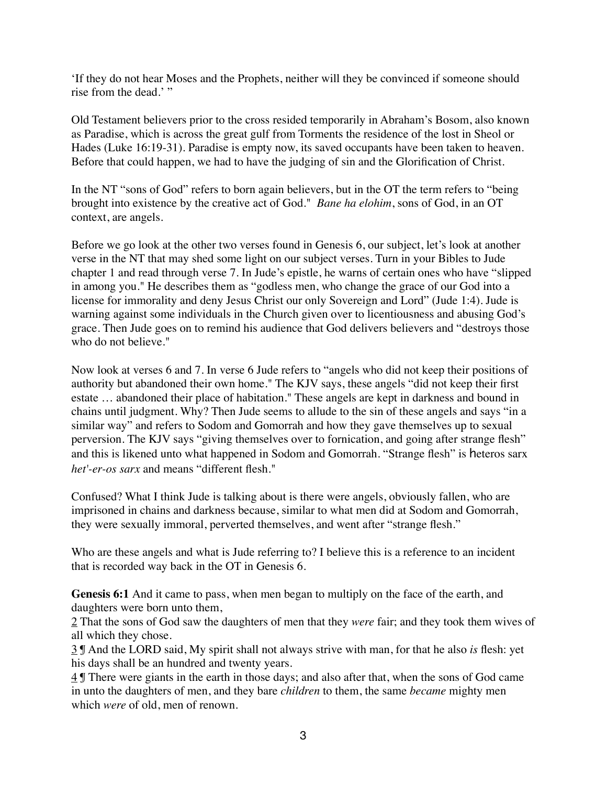'If they do not hear Moses and the Prophets, neither will they be convinced if someone should rise from the dead.' "

Old Testament believers prior to the cross resided temporarily in Abraham's Bosom, also known as Paradise, which is across the great gulf from Torments the residence of the lost in Sheol or Hades (Luke 16:19-31). Paradise is empty now, its saved occupants have been taken to heaven. Before that could happen, we had to have the judging of sin and the Glorification of Christ.

In the NT "sons of God" refers to born again believers, but in the OT the term refers to "being brought into existence by the creative act of God." *Bane ha elohim*, sons of God, in an OT context, are angels.

Before we go look at the other two verses found in Genesis 6, our subject, let's look at another verse in the NT that may shed some light on our subject verses. Turn in your Bibles to Jude chapter 1 and read through verse 7. In Jude's epistle, he warns of certain ones who have "slipped in among you." He describes them as "godless men, who change the grace of our God into a license for immorality and deny Jesus Christ our only Sovereign and Lord" (Jude 1:4). Jude is warning against some individuals in the Church given over to licentiousness and abusing God's grace. Then Jude goes on to remind his audience that God delivers believers and "destroys those who do not believe."

Now look at verses 6 and 7. In verse 6 Jude refers to "angels who did not keep their positions of authority but abandoned their own home." The KJV says, these angels "did not keep their first estate … abandoned their place of habitation." These angels are kept in darkness and bound in chains until judgment. Why? Then Jude seems to allude to the sin of these angels and says "in a similar way" and refers to Sodom and Gomorrah and how they gave themselves up to sexual perversion. The KJV says "giving themselves over to fornication, and going after strange flesh" and this is likened unto what happened in Sodom and Gomorrah. "Strange flesh" is heteros sarx *het'-er-os sarx* and means "different flesh."

Confused? What I think Jude is talking about is there were angels, obviously fallen, who are imprisoned in chains and darkness because, similar to what men did at Sodom and Gomorrah, they were sexually immoral, perverted themselves, and went after "strange flesh."

Who are these angels and what is Jude referring to? I believe this is a reference to an incident that is recorded way back in the OT in Genesis 6.

**Genesis 6:1** And it came to pass, when men began to multiply on the face of the earth, and daughters were born unto them,

2 That the sons of God saw the daughters of men that they *were* fair; and they took them wives of all which they chose.

3 ¶ And the LORD said, My spirit shall not always strive with man, for that he also *is* flesh: yet his days shall be an hundred and twenty years.

4 ¶ There were giants in the earth in those days; and also after that, when the sons of God came in unto the daughters of men, and they bare *children* to them, the same *became* mighty men which *were* of old, men of renown.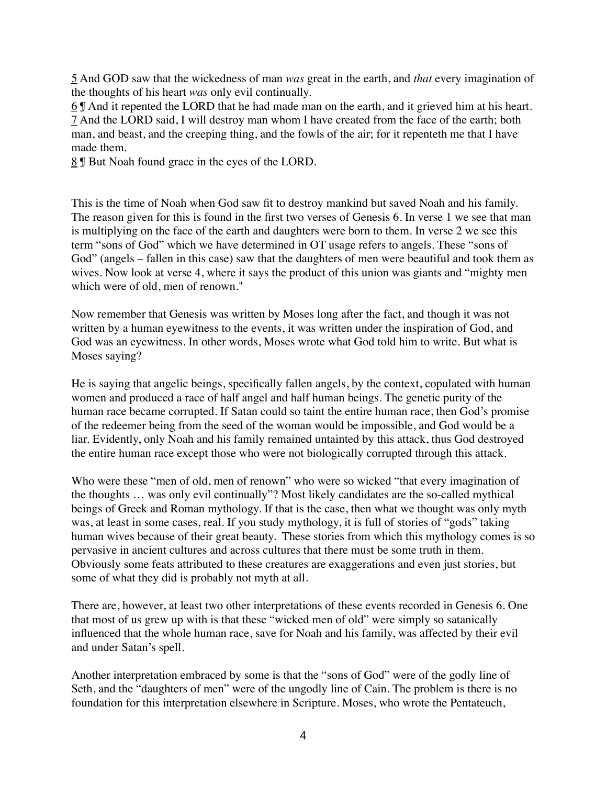5 And GOD saw that the wickedness of man *was* great in the earth, and *that* every imagination of the thoughts of his heart *was* only evil continually.

6 ¶ And it repented the LORD that he had made man on the earth, and it grieved him at his heart. 7 And the LORD said, I will destroy man whom I have created from the face of the earth; both man, and beast, and the creeping thing, and the fowls of the air; for it repenteth me that I have made them.

8 ¶ But Noah found grace in the eyes of the LORD.

This is the time of Noah when God saw fit to destroy mankind but saved Noah and his family. The reason given for this is found in the first two verses of Genesis 6. In verse 1 we see that man is multiplying on the face of the earth and daughters were born to them. In verse 2 we see this term "sons of God" which we have determined in OT usage refers to angels. These "sons of God" (angels – fallen in this case) saw that the daughters of men were beautiful and took them as wives. Now look at verse 4, where it says the product of this union was giants and "mighty men which were of old, men of renown."

Now remember that Genesis was written by Moses long after the fact, and though it was not written by a human eyewitness to the events, it was written under the inspiration of God, and God was an eyewitness. In other words, Moses wrote what God told him to write. But what is Moses saying?

He is saying that angelic beings, specifically fallen angels, by the context, copulated with human women and produced a race of half angel and half human beings. The genetic purity of the human race became corrupted. If Satan could so taint the entire human race, then God's promise of the redeemer being from the seed of the woman would be impossible, and God would be a liar. Evidently, only Noah and his family remained untainted by this attack, thus God destroyed the entire human race except those who were not biologically corrupted through this attack.

Who were these "men of old, men of renown" who were so wicked "that every imagination of the thoughts … was only evil continually"? Most likely candidates are the so-called mythical beings of Greek and Roman mythology. If that is the case, then what we thought was only myth was, at least in some cases, real. If you study mythology, it is full of stories of "gods" taking human wives because of their great beauty. These stories from which this mythology comes is so pervasive in ancient cultures and across cultures that there must be some truth in them. Obviously some feats attributed to these creatures are exaggerations and even just stories, but some of what they did is probably not myth at all.

There are, however, at least two other interpretations of these events recorded in Genesis 6. One that most of us grew up with is that these "wicked men of old" were simply so satanically influenced that the whole human race, save for Noah and his family, was affected by their evil and under Satan's spell.

Another interpretation embraced by some is that the "sons of God" were of the godly line of Seth, and the "daughters of men" were of the ungodly line of Cain. The problem is there is no foundation for this interpretation elsewhere in Scripture. Moses, who wrote the Pentateuch,